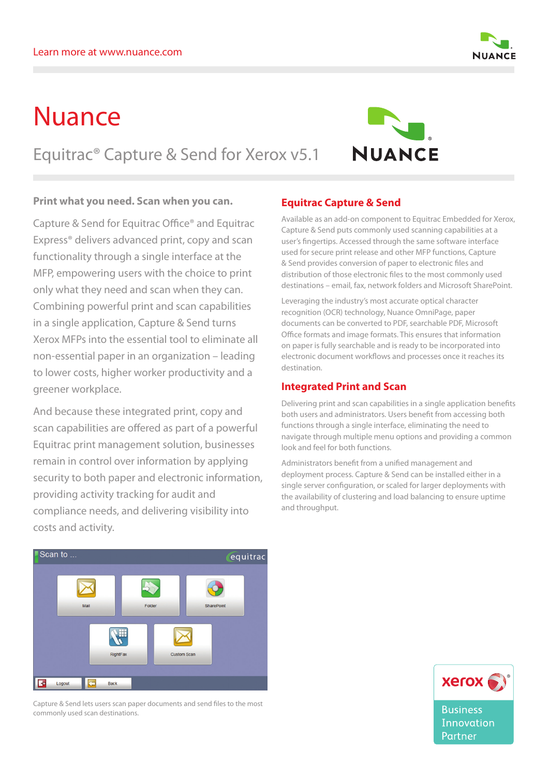# Nuance

Equitrac® Capture & Send for Xerox v5.1

#### **Print what you need. Scan when you can.**

Capture & Send for Equitrac Office® and Equitrac Express® delivers advanced print, copy and scan functionality through a single interface at the MFP, empowering users with the choice to print only what they need and scan when they can. Combining powerful print and scan capabilities in a single application, Capture & Send turns Xerox MFPs into the essential tool to eliminate all non-essential paper in an organization – leading to lower costs, higher worker productivity and a greener workplace.

And because these integrated print, copy and scan capabilities are offered as part of a powerful Equitrac print management solution, businesses remain in control over information by applying security to both paper and electronic information, providing activity tracking for audit and compliance needs, and delivering visibility into costs and activity.

### **Equitrac Capture & Send**

Available as an add-on component to Equitrac Embedded for Xerox, Capture & Send puts commonly used scanning capabilities at a user's fingertips. Accessed through the same software interface used for secure print release and other MFP functions, Capture & Send provides conversion of paper to electronic files and distribution of those electronic files to the most commonly used destinations – email, fax, network folders and Microsoft SharePoint.

Leveraging the industry's most accurate optical character recognition (OCR) technology, Nuance OmniPage, paper documents can be converted to PDF, searchable PDF, Microsoft Office formats and image formats. This ensures that information on paper is fully searchable and is ready to be incorporated into electronic document workflows and processes once it reaches its destination.

#### **Integrated Print and Scan**

Delivering print and scan capabilities in a single application benefits both users and administrators. Users benefit from accessing both functions through a single interface, eliminating the need to navigate through multiple menu options and providing a common look and feel for both functions.

Administrators benefit from a unified management and deployment process. Capture & Send can be installed either in a single server configuration, or scaled for larger deployments with the availability of clustering and load balancing to ensure uptime and throughput.

## Capture & Send lets users scan paper documents and send files to the most